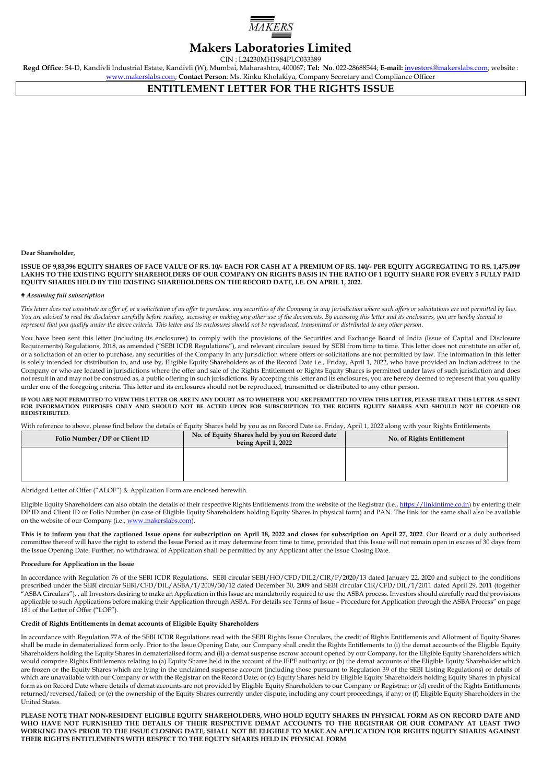

# **Makers Laboratories Limited**

CIN : L24230MH1984PLC033389

**Regd Office**: 54-D, Kandivli Industrial Estate, Kandivli (W), Mumbai, Maharashtra, 400067; **Tel: No**. 022-28688544; **E-mail:** [investors@makerslabs.com;](mailto:investors@makerslabs.com) website : [www.makerslabs.com;](http://www.makerslabs.com/) **Contact Person**: Ms. Rinku Kholakiya, Company Secretary and Compliance Officer

**ENTITLEMENT LETTER FOR THE RIGHTS ISSUE**

**Dear Shareholder,** 

**ISSUE OF 9,83,396 EQUITY SHARES OF FACE VALUE OF RS. 10/- EACH FOR CASH AT A PREMIUM OF RS. 140/- PER EQUITY AGGREGATING TO RS. 1,475.09# LAKHS TO THE EXISTING EQUITY SHAREHOLDERS OF OUR COMPANY ON RIGHTS BASIS IN THE RATIO OF 1 EQUITY SHARE FOR EVERY 5 FULLY PAID EQUITY SHARES HELD BY THE EXISTING SHAREHOLDERS ON THE RECORD DATE, I.E. ON APRIL 1, 2022.**

#### *# Assuming full subscription*

*This letter does not constitute an offer of, or a solicitation of an offer to purchase, any securities of the Company in any jurisdiction where such offers or solicitations are not permitted by law. You are advised to read the disclaimer carefully before reading, accessing or making any other use of the documents. By accessing this letter and its enclosures, you are hereby deemed to represent that you qualify under the above criteria. This letter and its enclosures should not be reproduced, transmitted or distributed to any other person.* 

You have been sent this letter (including its enclosures) to comply with the provisions of the Securities and Exchange Board of India (Issue of Capital and Disclosure Requirements) Regulations, 2018, as amended ("SEBI ICDR Regulations"), and relevant circulars issued by SEBI from time to time. This letter does not constitute an offer of, or a solicitation of an offer to purchase, any securities of the Company in any jurisdiction where offers or solicitations are not permitted by law. The information in this letter is solely intended for distribution to, and use by, Eligible Equity Shareholders as of the Record Date i.e., Friday, April 1, 2022, who have provided an Indian address to the Company or who are located in jurisdictions where the offer and sale of the Rights Entitlement or Rights Equity Shares is permitted under laws of such jurisdiction and does not result in and may not be construed as, a public offering in such jurisdictions. By accepting this letter and its enclosures, you are hereby deemed to represent that you qualify under one of the foregoing criteria. This letter and its enclosures should not be reproduced, transmitted or distributed to any other person.

## IF YOU ARE NOT PERMITTED TO VIEW THIS LETTER OR ARE IN ANY DOUBT AS TO WHETHER YOU ARE PERMITTED TO VIEW THIS LETTER, PLEASE TREAT THIS LETTER AS SENT<br>FOR INFORMATION PURPOSES ONLY AND SHOULD NOT BE ACTED UPON FO **REDISTRIBUTED.**

With reference to above, please find below the details of Equity Shares held by you as on Record Date i.e. Friday, April 1, 2022 along with your Rights Entitlements

| Folio Number / DP or Client ID | No. of Equity Shares held by you on Record date<br>being April 1, 2022 | No. of Rights Entitlement |
|--------------------------------|------------------------------------------------------------------------|---------------------------|
|                                |                                                                        |                           |
|                                |                                                                        |                           |
|                                |                                                                        |                           |

Abridged Letter of Offer ("ALOF") & Application Form are enclosed herewith.

Eligible Equity Shareholders can also obtain the details of their respective Rights Entitlements from the website of the Registrar (i.e.[, https://linkintime.co.in\)](https://linkintime.co.in/) by entering their DP ID and Client ID or Folio Number (in case of Eligible Equity Shareholders holding Equity Shares in physical form) and PAN. The link for the same shall also be available on the website of our Company (i.e.[, www.makerslabs.com\)](http://www.makerslabs.com/)

**This is to inform you that the captioned Issue opens for subscription on April 18, 2022 and closes for subscription on April 27, 2022**. Our Board or a duly authorised committee thereof will have the right to extend the Issue Period as it may determine from time to time, provided that this Issue will not remain open in excess of 30 days from the Issue Opening Date. Further, no withdrawal of Application shall be permitted by any Applicant after the Issue Closing Date.

#### **Procedure for Application in the Issue**

In accordance with Regulation 76 of the SEBI ICDR Regulations, SEBI circular SEBI/HO/CFD/DIL2/CIR/P/2020/13 dated January 22, 2020 and subject to the conditions prescribed under the SEBI circular SEBI/CFD/DIL/ASBA/1/2009/30/12 dated December 30, 2009 and SEBI circular CIR/CFD/DIL/1/2011 dated April 29, 2011 (together "ASBA Circulars"), , all Investors desiring to make an Application in this Issue are mandatorily required to use the ASBA process. Investors should carefully read the provisions applicable to such Applications before making their Application through ASBA. For details see Terms of Issue – Procedure for Application through the ASBA Process" on page 181 of the Letter of Offer ("LOF").

#### **Credit of Rights Entitlements in demat accounts of Eligible Equity Shareholders**

In accordance with Regulation 77A of the SEBI ICDR Regulations read with the SEBI Rights Issue Circulars, the credit of Rights Entitlements and Allotment of Equity Shares shall be made in dematerialized form only. Prior to the Issue Opening Date, our Company shall credit the Rights Entitlements to (i) the demat accounts of the Eligible Equity Shareholders holding the Equity Shares in dematerialised form; and (ii) a demat suspense escrow account opened by our Company, for the Eligible Equity Shareholders which would comprise Rights Entitlements relating to (a) Equity Shares held in the account of the IEPF authority; or (b) the demat accounts of the Eligible Equity Shareholder which are frozen or the Equity Shares which are lying in the unclaimed suspense account (including those pursuant to Regulation 39 of the SEBI Listing Regulations) or details of which are unavailable with our Company or with the Registrar on the Record Date; or (c) Equity Shares held by Eligible Equity Shareholders holding Equity Shares in physical form as on Record Date where details of demat accounts are not provided by Eligible Equity Shareholders to our Company or Registrar; or (d) credit of the Rights Entitlements returned/reversed/failed; or (e) the ownership of the Equity Shares currently under dispute, including any court proceedings, if any; or (f) Eligible Equity Shareholders in the United States.

**PLEASE NOTE THAT NON-RESIDENT ELIGIBLE EQUITY SHAREHOLDERS, WHO HOLD EQUITY SHARES IN PHYSICAL FORM AS ON RECORD DATE AND WHO HAVE NOT FURNISHED THE DETAILS OF THEIR RESPECTIVE DEMAT ACCOUNTS TO THE REGISTRAR OR OUR COMPANY AT LEAST TWO WORKING DAYS PRIOR TO THE ISSUE CLOSING DATE, SHALL NOT BE ELIGIBLE TO MAKE AN APPLICATION FOR RIGHTS EQUITY SHARES AGAINST THEIR RIGHTS ENTITLEMENTS WITH RESPECT TO THE EQUITY SHARES HELD IN PHYSICAL FORM**